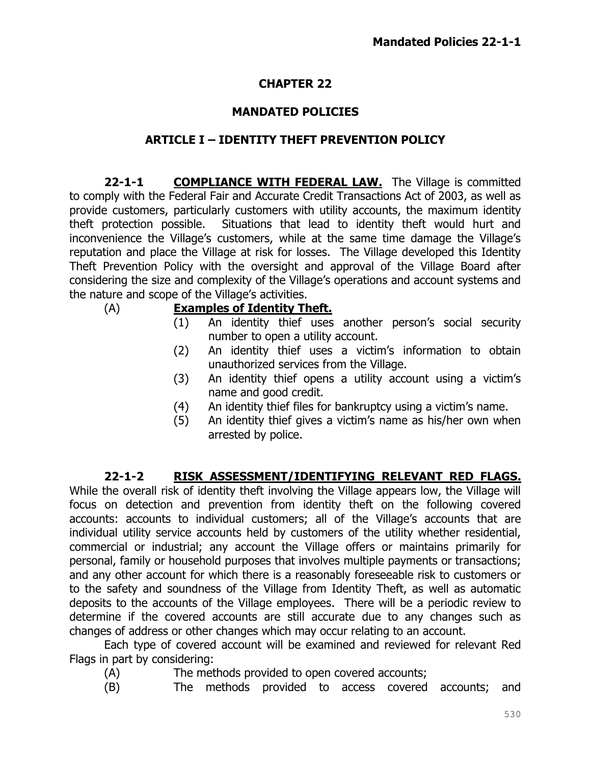# **CHAPTER 22**

## **MANDATED POLICIES**

#### **ARTICLE I – IDENTITY THEFT PREVENTION POLICY**

**22-1-1 COMPLIANCE WITH FEDERAL LAW.** The Village is committed to comply with the Federal Fair and Accurate Credit Transactions Act of 2003, as well as provide customers, particularly customers with utility accounts, the maximum identity theft protection possible. Situations that lead to identity theft would hurt and inconvenience the Village's customers, while at the same time damage the Village's reputation and place the Village at risk for losses. The Village developed this Identity Theft Prevention Policy with the oversight and approval of the Village Board after considering the size and complexity of the Village's operations and account systems and the nature and scope of the Village's activities.

### (A) **Examples of Identity Theft.**

- (1) An identity thief uses another person's social security number to open a utility account.
- (2) An identity thief uses a victim's information to obtain unauthorized services from the Village.
- (3) An identity thief opens a utility account using a victim's name and good credit.
- (4) An identity thief files for bankruptcy using a victim's name.
- (5) An identity thief gives a victim's name as his/her own when arrested by police.

#### **22-1-2 RISK ASSESSMENT/IDENTIFYING RELEVANT RED FLAGS.**

While the overall risk of identity theft involving the Village appears low, the Village will focus on detection and prevention from identity theft on the following covered accounts: accounts to individual customers; all of the Village's accounts that are individual utility service accounts held by customers of the utility whether residential, commercial or industrial; any account the Village offers or maintains primarily for personal, family or household purposes that involves multiple payments or transactions; and any other account for which there is a reasonably foreseeable risk to customers or to the safety and soundness of the Village from Identity Theft, as well as automatic deposits to the accounts of the Village employees. There will be a periodic review to determine if the covered accounts are still accurate due to any changes such as changes of address or other changes which may occur relating to an account.

Each type of covered account will be examined and reviewed for relevant Red Flags in part by considering:

- (A) The methods provided to open covered accounts;
- (B) The methods provided to access covered accounts; and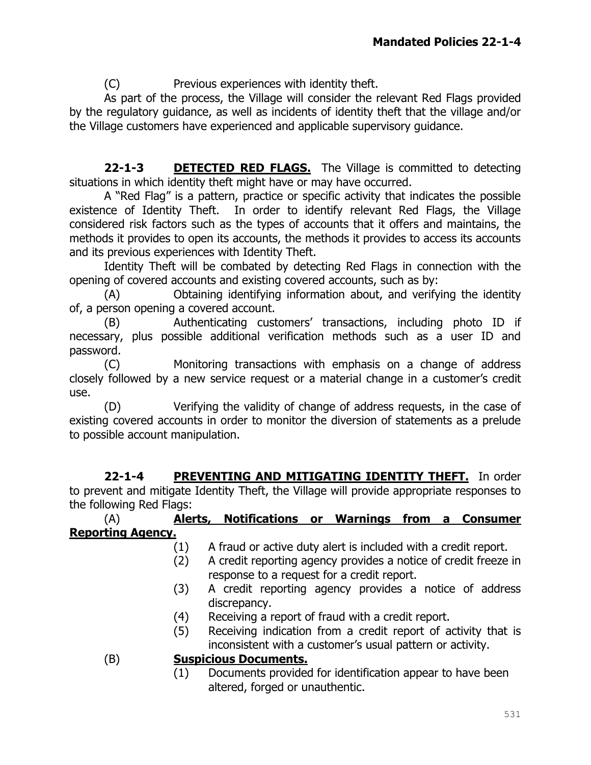(C) Previous experiences with identity theft.

As part of the process, the Village will consider the relevant Red Flags provided by the regulatory guidance, as well as incidents of identity theft that the village and/or the Village customers have experienced and applicable supervisory guidance.

**22-1-3 DETECTED RED FLAGS.** The Village is committed to detecting situations in which identity theft might have or may have occurred.

A "Red Flag" is a pattern, practice or specific activity that indicates the possible existence of Identity Theft. In order to identify relevant Red Flags, the Village considered risk factors such as the types of accounts that it offers and maintains, the methods it provides to open its accounts, the methods it provides to access its accounts and its previous experiences with Identity Theft.

Identity Theft will be combated by detecting Red Flags in connection with the opening of covered accounts and existing covered accounts, such as by:

(A) Obtaining identifying information about, and verifying the identity of, a person opening a covered account.

(B) Authenticating customers' transactions, including photo ID if necessary, plus possible additional verification methods such as a user ID and password.

(C) Monitoring transactions with emphasis on a change of address closely followed by a new service request or a material change in a customer's credit use.

(D) Verifying the validity of change of address requests, in the case of existing covered accounts in order to monitor the diversion of statements as a prelude to possible account manipulation.

**22-1-4 PREVENTING AND MITIGATING IDENTITY THEFT.** In order to prevent and mitigate Identity Theft, the Village will provide appropriate responses to the following Red Flags:

### (A) **Alerts, Notifications or Warnings from a Consumer Reporting Agency.**

- (1) A fraud or active duty alert is included with a credit report.
- (2) A credit reporting agency provides a notice of credit freeze in response to a request for a credit report.
- (3) A credit reporting agency provides a notice of address discrepancy.
- (4) Receiving a report of fraud with a credit report.
- (5) Receiving indication from a credit report of activity that is inconsistent with a customer's usual pattern or activity.

## (B) **Suspicious Documents.**

(1) Documents provided for identification appear to have been altered, forged or unauthentic.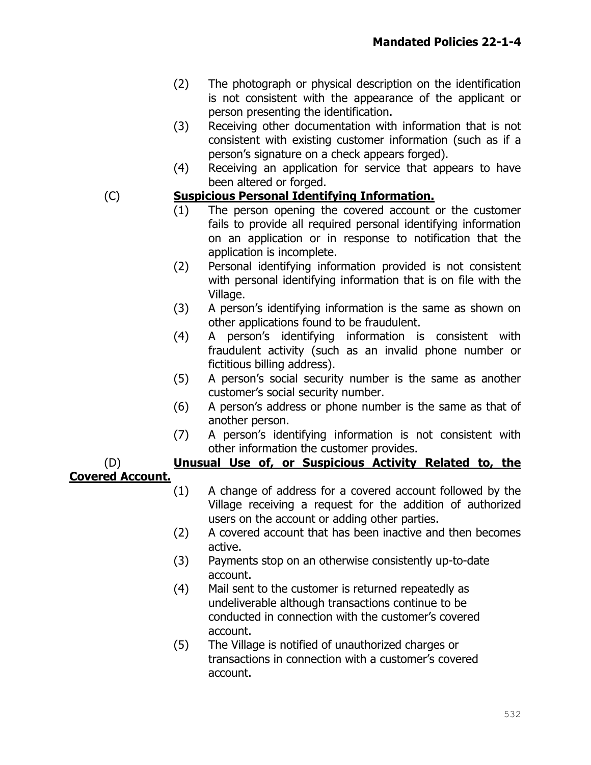- (2) The photograph or physical description on the identification is not consistent with the appearance of the applicant or person presenting the identification.
- (3) Receiving other documentation with information that is not consistent with existing customer information (such as if a person's signature on a check appears forged).
- (4) Receiving an application for service that appears to have been altered or forged.

#### (C) **Suspicious Personal Identifying Information.**

- (1) The person opening the covered account or the customer fails to provide all required personal identifying information on an application or in response to notification that the application is incomplete.
- (2) Personal identifying information provided is not consistent with personal identifying information that is on file with the Village.
- (3) A person's identifying information is the same as shown on other applications found to be fraudulent.
- (4) A person's identifying information is consistent with fraudulent activity (such as an invalid phone number or fictitious billing address).
- (5) A person's social security number is the same as another customer's social security number.
- (6) A person's address or phone number is the same as that of another person.
- (7) A person's identifying information is not consistent with other information the customer provides.

#### (D) **Unusual Use of, or Suspicious Activity Related to, the Covered Account.**

- (1) A change of address for a covered account followed by the Village receiving a request for the addition of authorized users on the account or adding other parties.
- (2) A covered account that has been inactive and then becomes active.
- (3) Payments stop on an otherwise consistently up-to-date account.
- (4) Mail sent to the customer is returned repeatedly as undeliverable although transactions continue to be conducted in connection with the customer's covered account.
- (5) The Village is notified of unauthorized charges or transactions in connection with a customer's covered account.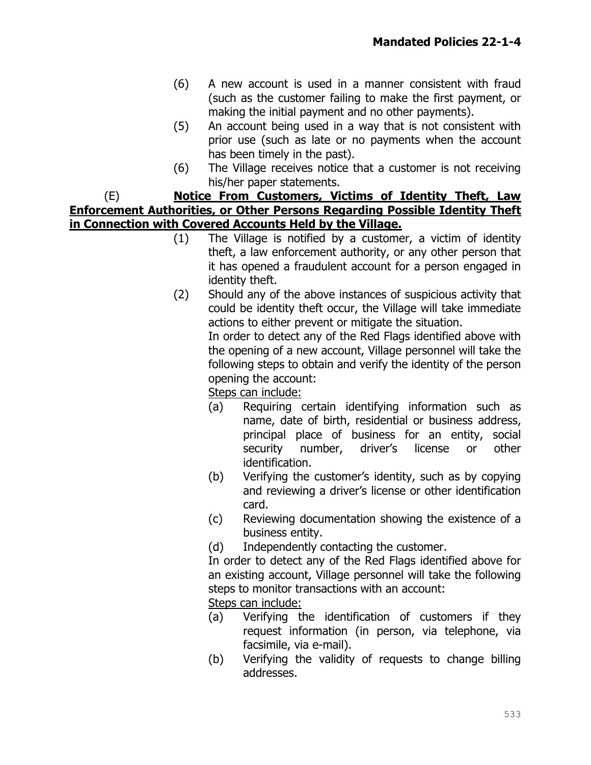- (6) A new account is used in a manner consistent with fraud (such as the customer failing to make the first payment, or making the initial payment and no other payments).
- (5) An account being used in a way that is not consistent with prior use (such as late or no payments when the account has been timely in the past).
- (6) The Village receives notice that a customer is not receiving his/her paper statements.

(E) **Notice From Customers, Victims of Identity Theft, Law Enforcement Authorities, or Other Persons Regarding Possible Identity Theft in Connection with Covered Accounts Held by the Village.**

- (1) The Village is notified by a customer, a victim of identity theft, a law enforcement authority, or any other person that it has opened a fraudulent account for a person engaged in identity theft.
- (2) Should any of the above instances of suspicious activity that could be identity theft occur, the Village will take immediate actions to either prevent or mitigate the situation.

In order to detect any of the Red Flags identified above with the opening of a new account, Village personnel will take the following steps to obtain and verify the identity of the person opening the account:

Steps can include:

- (a) Requiring certain identifying information such as name, date of birth, residential or business address, principal place of business for an entity, social security number, driver's license or other identification.
- (b) Verifying the customer's identity, such as by copying and reviewing a driver's license or other identification card.
- (c) Reviewing documentation showing the existence of a business entity.
- (d) Independently contacting the customer.

In order to detect any of the Red Flags identified above for an existing account, Village personnel will take the following steps to monitor transactions with an account:

Steps can include:

- (a) Verifying the identification of customers if they request information (in person, via telephone, via facsimile, via e-mail).
- (b) Verifying the validity of requests to change billing addresses.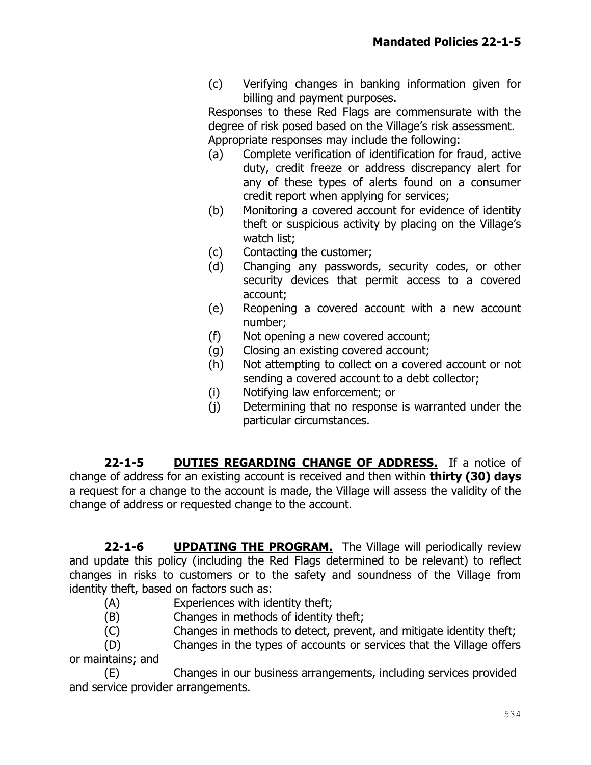(c) Verifying changes in banking information given for billing and payment purposes.

Responses to these Red Flags are commensurate with the degree of risk posed based on the Village's risk assessment. Appropriate responses may include the following:

- (a) Complete verification of identification for fraud, active duty, credit freeze or address discrepancy alert for any of these types of alerts found on a consumer credit report when applying for services;
- (b) Monitoring a covered account for evidence of identity theft or suspicious activity by placing on the Village's watch list;
- (c) Contacting the customer;
- (d) Changing any passwords, security codes, or other security devices that permit access to a covered account;
- (e) Reopening a covered account with a new account number;
- (f) Not opening a new covered account;
- (g) Closing an existing covered account;
- (h) Not attempting to collect on a covered account or not sending a covered account to a debt collector;
- (i) Notifying law enforcement; or
- (j) Determining that no response is warranted under the particular circumstances.

**22-1-5 DUTIES REGARDING CHANGE OF ADDRESS.** If a notice of change of address for an existing account is received and then within **thirty (30) days**  a request for a change to the account is made, the Village will assess the validity of the change of address or requested change to the account.

**22-1-6 UPDATING THE PROGRAM.** The Village will periodically review and update this policy (including the Red Flags determined to be relevant) to reflect changes in risks to customers or to the safety and soundness of the Village from identity theft, based on factors such as:

- (A) Experiences with identity theft;
- (B) Changes in methods of identity theft;
- (C) Changes in methods to detect, prevent, and mitigate identity theft;

(D) Changes in the types of accounts or services that the Village offers or maintains; and

(E) Changes in our business arrangements, including services provided and service provider arrangements.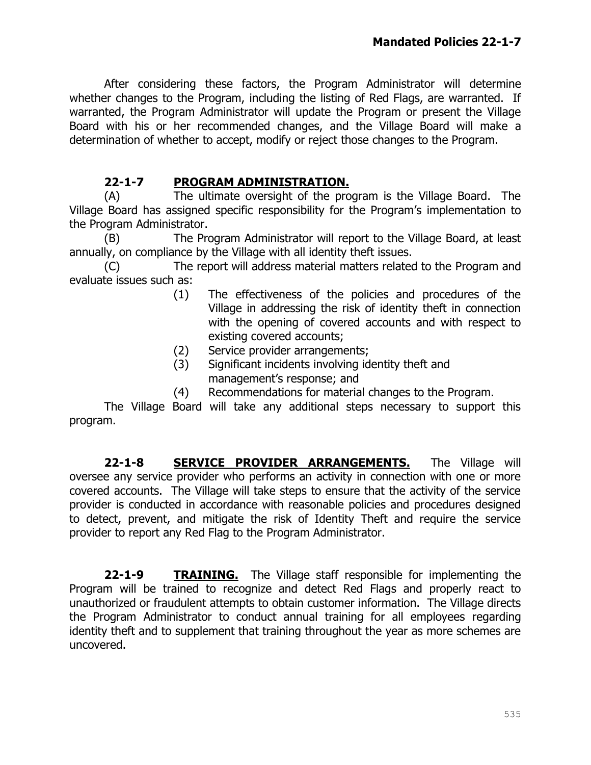After considering these factors, the Program Administrator will determine whether changes to the Program, including the listing of Red Flags, are warranted. If warranted, the Program Administrator will update the Program or present the Village Board with his or her recommended changes, and the Village Board will make a determination of whether to accept, modify or reject those changes to the Program.

## **22-1-7 PROGRAM ADMINISTRATION.**

(A) The ultimate oversight of the program is the Village Board. The Village Board has assigned specific responsibility for the Program's implementation to the Program Administrator.

(B) The Program Administrator will report to the Village Board, at least annually, on compliance by the Village with all identity theft issues.

(C) The report will address material matters related to the Program and evaluate issues such as:

- (1) The effectiveness of the policies and procedures of the Village in addressing the risk of identity theft in connection with the opening of covered accounts and with respect to existing covered accounts;
- (2) Service provider arrangements;
- (3) Significant incidents involving identity theft and management's response; and
- (4) Recommendations for material changes to the Program.

The Village Board will take any additional steps necessary to support this program.

**22-1-8 SERVICE PROVIDER ARRANGEMENTS.** The Village will oversee any service provider who performs an activity in connection with one or more covered accounts. The Village will take steps to ensure that the activity of the service provider is conducted in accordance with reasonable policies and procedures designed to detect, prevent, and mitigate the risk of Identity Theft and require the service provider to report any Red Flag to the Program Administrator.

**22-1-9 TRAINING.** The Village staff responsible for implementing the Program will be trained to recognize and detect Red Flags and properly react to unauthorized or fraudulent attempts to obtain customer information. The Village directs the Program Administrator to conduct annual training for all employees regarding identity theft and to supplement that training throughout the year as more schemes are uncovered.